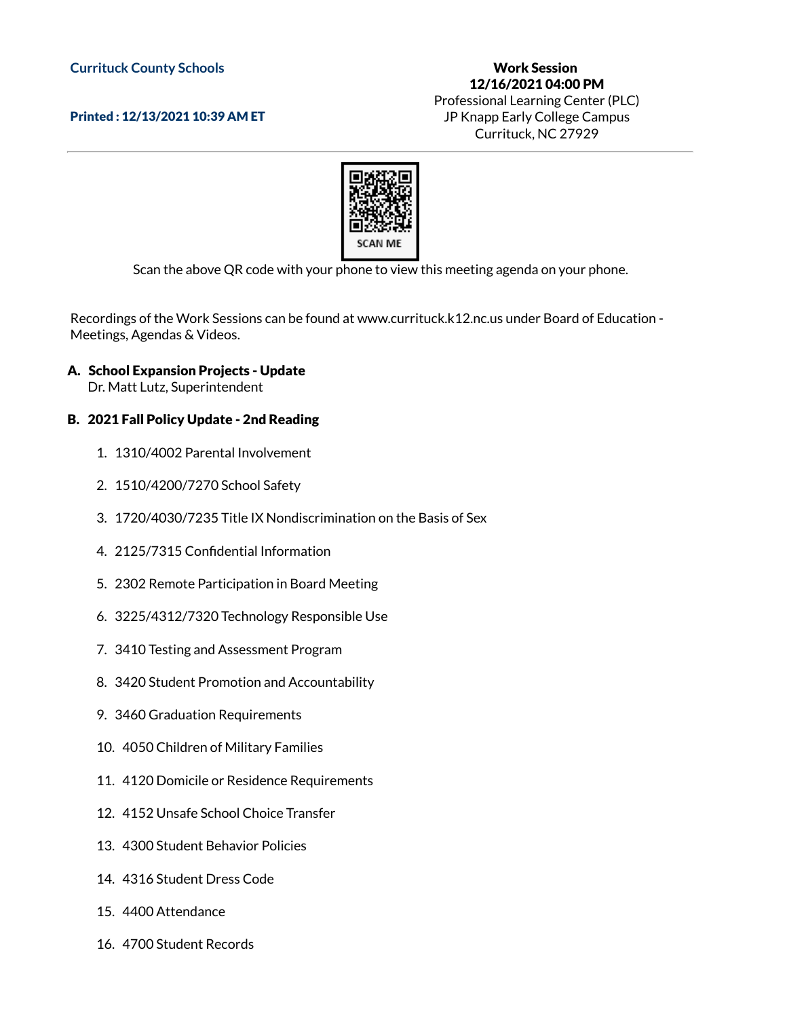## **Currituck County Schools**

Printed : 12/13/2021 10:39 AM ET

## Work Session 12/16/2021 04:00 PM Professional Learning Center (PLC) JP Knapp Early College Campus Currituck, NC 27929



Scan the above QR code with your phone to view this meeting agenda on your phone.

Recordings of the Work Sessions can be found at www.currituck.k12.nc.us under Board of Education - Meetings, Agendas & Videos.

A. School Expansion Projects - Update

Dr. Matt Lutz, Superintendent

## B. 2021 Fall Policy Update - 2nd Reading

- 1. 1310/4002 Parental Involvement
- 2. 1510/4200/7270 School Safety
- 3. 1720/4030/7235 Title IX Nondiscrimination on the Basis of Sex
- 4. 2125/7315 Confidential Information
- 5. 2302 Remote Participation in Board Meeting
- 6. 3225/4312/7320 Technology Responsible Use
- 7. 3410 Testing and Assessment Program
- 8. 3420 Student Promotion and Accountability
- 9. 3460 Graduation Requirements
- 10. 4050 Children of Military Families
- 11. 4120 Domicile or Residence Requirements
- 12. 4152 Unsafe School Choice Transfer
- 13. 4300 Student Behavior Policies
- 14. 4316 Student Dress Code
- 15. 4400 Attendance
- 16. 4700 Student Records